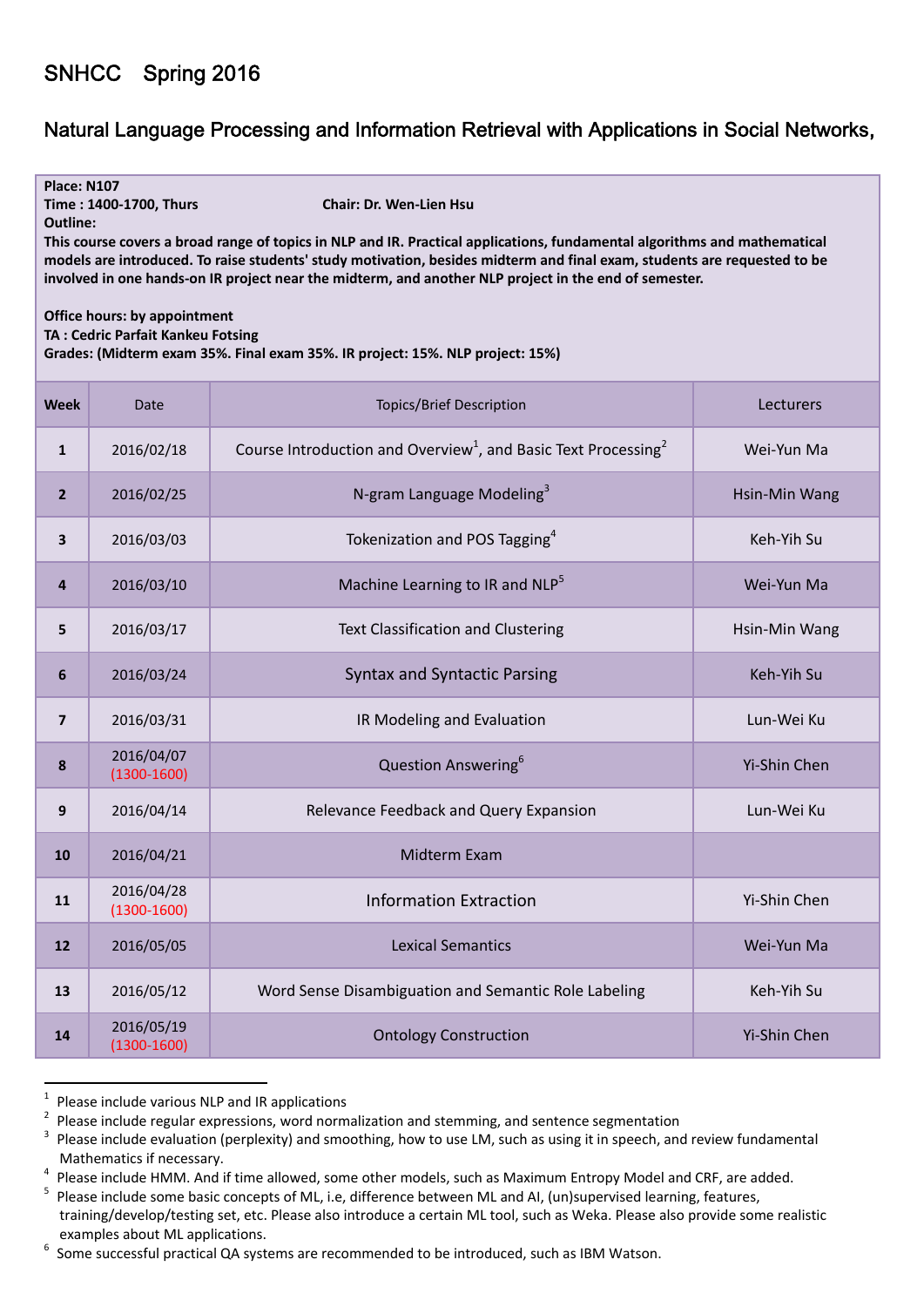## SNHCC Spring 2016

## Natural Language Processing and Information Retrieval with Applications in Social Networks,

| <b>Place: N107</b><br>Chair: Dr. Wen-Lien Hsu<br>Time: 1400-1700, Thurs<br><b>Outline:</b><br>This course covers a broad range of topics in NLP and IR. Practical applications, fundamental algorithms and mathematical<br>models are introduced. To raise students' study motivation, besides midterm and final exam, students are requested to be<br>involved in one hands-on IR project near the midterm, and another NLP project in the end of semester.<br><b>Office hours: by appointment</b><br>TA: Cedric Parfait Kankeu Fotsing<br>Grades: (Midterm exam 35%. Final exam 35%. IR project: 15%. NLP project: 15%) |                               |                                                                                        |               |  |
|---------------------------------------------------------------------------------------------------------------------------------------------------------------------------------------------------------------------------------------------------------------------------------------------------------------------------------------------------------------------------------------------------------------------------------------------------------------------------------------------------------------------------------------------------------------------------------------------------------------------------|-------------------------------|----------------------------------------------------------------------------------------|---------------|--|
| <b>Week</b>                                                                                                                                                                                                                                                                                                                                                                                                                                                                                                                                                                                                               | Date                          | <b>Topics/Brief Description</b>                                                        | Lecturers     |  |
| $\mathbf{1}$                                                                                                                                                                                                                                                                                                                                                                                                                                                                                                                                                                                                              | 2016/02/18                    | Course Introduction and Overview <sup>1</sup> , and Basic Text Processing <sup>2</sup> | Wei-Yun Ma    |  |
| 2 <sup>2</sup>                                                                                                                                                                                                                                                                                                                                                                                                                                                                                                                                                                                                            | 2016/02/25                    | N-gram Language Modeling <sup>3</sup>                                                  | Hsin-Min Wang |  |
| 3                                                                                                                                                                                                                                                                                                                                                                                                                                                                                                                                                                                                                         | 2016/03/03                    | Tokenization and POS Tagging <sup>4</sup>                                              | Keh-Yih Su    |  |
| 4                                                                                                                                                                                                                                                                                                                                                                                                                                                                                                                                                                                                                         | 2016/03/10                    | Machine Learning to IR and NLP <sup>5</sup>                                            | Wei-Yun Ma    |  |
| 5                                                                                                                                                                                                                                                                                                                                                                                                                                                                                                                                                                                                                         | 2016/03/17                    | Text Classification and Clustering                                                     | Hsin-Min Wang |  |
| 6                                                                                                                                                                                                                                                                                                                                                                                                                                                                                                                                                                                                                         | 2016/03/24                    | <b>Syntax and Syntactic Parsing</b>                                                    | Keh-Yih Su    |  |
| $\overline{7}$                                                                                                                                                                                                                                                                                                                                                                                                                                                                                                                                                                                                            | 2016/03/31                    | IR Modeling and Evaluation                                                             | Lun-Wei Ku    |  |
| 8                                                                                                                                                                                                                                                                                                                                                                                                                                                                                                                                                                                                                         | 2016/04/07<br>$(1300 - 1600)$ | Question Answering <sup>6</sup>                                                        | Yi-Shin Chen  |  |
| 9                                                                                                                                                                                                                                                                                                                                                                                                                                                                                                                                                                                                                         | 2016/04/14                    | Relevance Feedback and Query Expansion                                                 | Lun-Wei Ku    |  |
| 10                                                                                                                                                                                                                                                                                                                                                                                                                                                                                                                                                                                                                        | 2016/04/21                    | Midterm Exam                                                                           |               |  |
| 11                                                                                                                                                                                                                                                                                                                                                                                                                                                                                                                                                                                                                        | 2016/04/28<br>$(1300 - 1600)$ | <b>Information Extraction</b>                                                          | Yi-Shin Chen  |  |
| 12                                                                                                                                                                                                                                                                                                                                                                                                                                                                                                                                                                                                                        | 2016/05/05                    | <b>Lexical Semantics</b>                                                               | Wei-Yun Ma    |  |
| 13                                                                                                                                                                                                                                                                                                                                                                                                                                                                                                                                                                                                                        | 2016/05/12                    | Word Sense Disambiguation and Semantic Role Labeling                                   | Keh-Yih Su    |  |
| 14                                                                                                                                                                                                                                                                                                                                                                                                                                                                                                                                                                                                                        | 2016/05/19<br>$(1300 - 1600)$ | <b>Ontology Construction</b>                                                           | Yi-Shin Chen  |  |

<sup>&</sup>lt;sup>1</sup> Please include various NLP and IR applications

<sup>&</sup>lt;sup>2</sup> Please include regular expressions, word normalization and stemming, and sentence segmentation<br><sup>3</sup> Please include evaluation (perplexity) and smoothing, how to use LM, such as using it in speech, and review fundamenta

Mathematics if necessary.<br><sup>4</sup> Please include HMM. And if time allowed, some other models, such as Maximum Entropy Model and CRF, are added.<br><sup>5</sup> Please include some basic concepts of ML, i.e, difference between ML and AI, (

training/develop/testing set, etc. Please also introduce a certain ML tool, such as Weka. Please also provide some realistic

examples about ML applications. <sup>6</sup> Some successful practical QA systems are recommended to be introduced, such as IBM Watson.